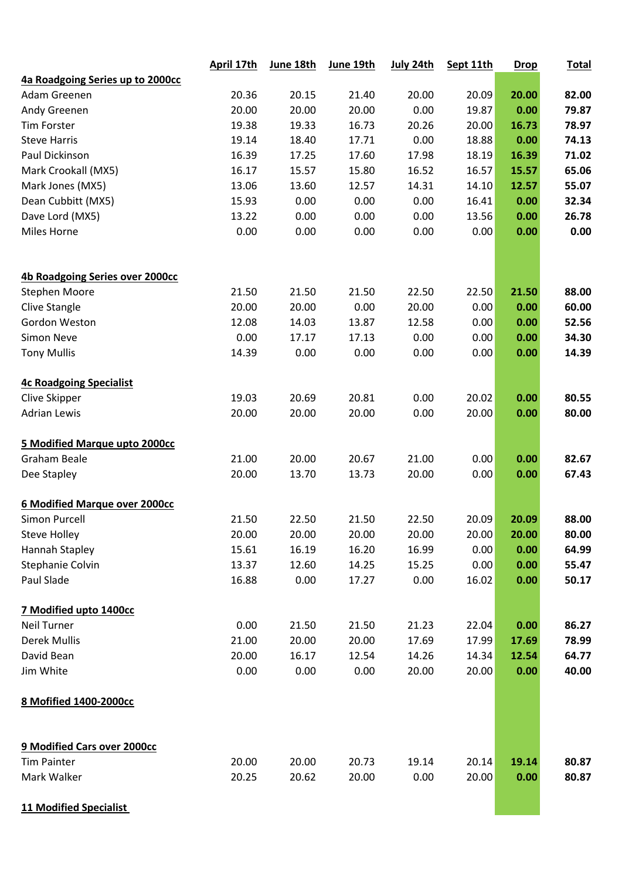|                                  | April 17th | June 18th | June 19th | July 24th | Sept 11th | <b>Drop</b> | <b>Total</b> |
|----------------------------------|------------|-----------|-----------|-----------|-----------|-------------|--------------|
| 4a Roadgoing Series up to 2000cc |            |           |           |           |           |             |              |
| Adam Greenen                     | 20.36      | 20.15     | 21.40     | 20.00     | 20.09     | 20.00       | 82.00        |
| Andy Greenen                     | 20.00      | 20.00     | 20.00     | 0.00      | 19.87     | 0.00        | 79.87        |
| <b>Tim Forster</b>               | 19.38      | 19.33     | 16.73     | 20.26     | 20.00     | 16.73       | 78.97        |
| <b>Steve Harris</b>              | 19.14      | 18.40     | 17.71     | 0.00      | 18.88     | 0.00        | 74.13        |
| Paul Dickinson                   | 16.39      | 17.25     | 17.60     | 17.98     | 18.19     | 16.39       | 71.02        |
| Mark Crookall (MX5)              | 16.17      | 15.57     | 15.80     | 16.52     | 16.57     | 15.57       | 65.06        |
| Mark Jones (MX5)                 | 13.06      | 13.60     | 12.57     | 14.31     | 14.10     | 12.57       | 55.07        |
| Dean Cubbitt (MX5)               | 15.93      | 0.00      | 0.00      | 0.00      | 16.41     | 0.00        | 32.34        |
| Dave Lord (MX5)                  | 13.22      | 0.00      | 0.00      | 0.00      | 13.56     | 0.00        | 26.78        |
| Miles Horne                      | 0.00       | 0.00      | 0.00      | 0.00      | 0.00      | 0.00        | 0.00         |
| 4b Roadgoing Series over 2000cc  |            |           |           |           |           |             |              |
| <b>Stephen Moore</b>             | 21.50      | 21.50     | 21.50     | 22.50     | 22.50     | 21.50       | 88.00        |
| Clive Stangle                    | 20.00      | 20.00     | 0.00      | 20.00     | 0.00      | 0.00        | 60.00        |
| Gordon Weston                    | 12.08      | 14.03     | 13.87     | 12.58     | 0.00      | 0.00        | 52.56        |
| <b>Simon Neve</b>                | 0.00       | 17.17     | 17.13     | 0.00      | 0.00      | 0.00        | 34.30        |
| <b>Tony Mullis</b>               | 14.39      | 0.00      | 0.00      | 0.00      | 0.00      | 0.00        | 14.39        |
| <b>4c Roadgoing Specialist</b>   |            |           |           |           |           |             |              |
| Clive Skipper                    | 19.03      | 20.69     | 20.81     | 0.00      | 20.02     | 0.00        | 80.55        |
| <b>Adrian Lewis</b>              | 20.00      | 20.00     | 20.00     | 0.00      | 20.00     | 0.00        | 80.00        |
| 5 Modified Marque upto 2000cc    |            |           |           |           |           |             |              |
| <b>Graham Beale</b>              | 21.00      | 20.00     | 20.67     | 21.00     | 0.00      | 0.00        | 82.67        |
| Dee Stapley                      | 20.00      | 13.70     | 13.73     | 20.00     | 0.00      | 0.00        | 67.43        |
| 6 Modified Marque over 2000cc    |            |           |           |           |           |             |              |
| <b>Simon Purcell</b>             | 21.50      | 22.50     | 21.50     | 22.50     | 20.09     | 20.09       | 88.00        |
| <b>Steve Holley</b>              | 20.00      | 20.00     | 20.00     | 20.00     | 20.00     | 20.00       | 80.00        |
| Hannah Stapley                   | 15.61      | 16.19     | 16.20     | 16.99     | 0.00      | 0.00        | 64.99        |
| Stephanie Colvin                 | 13.37      | 12.60     | 14.25     | 15.25     | 0.00      | 0.00        | 55.47        |
| Paul Slade                       | 16.88      | 0.00      | 17.27     | 0.00      | 16.02     | 0.00        | 50.17        |
| 7 Modified upto 1400cc           |            |           |           |           |           |             |              |
| <b>Neil Turner</b>               | 0.00       | 21.50     | 21.50     | 21.23     | 22.04     | 0.00        | 86.27        |
| <b>Derek Mullis</b>              | 21.00      | 20.00     | 20.00     | 17.69     | 17.99     | 17.69       | 78.99        |
| David Bean                       | 20.00      | 16.17     | 12.54     | 14.26     | 14.34     | 12.54       | 64.77        |
| Jim White                        | 0.00       | 0.00      | 0.00      | 20.00     | 20.00     | 0.00        | 40.00        |
| 8 Mofified 1400-2000cc           |            |           |           |           |           |             |              |
| 9 Modified Cars over 2000cc      |            |           |           |           |           |             |              |
| <b>Tim Painter</b>               | 20.00      | 20.00     | 20.73     | 19.14     | 20.14     | 19.14       | 80.87        |
| Mark Walker                      | 20.25      | 20.62     | 20.00     | 0.00      | 20.00     | 0.00        | 80.87        |
| <b>11 Modified Specialist</b>    |            |           |           |           |           |             |              |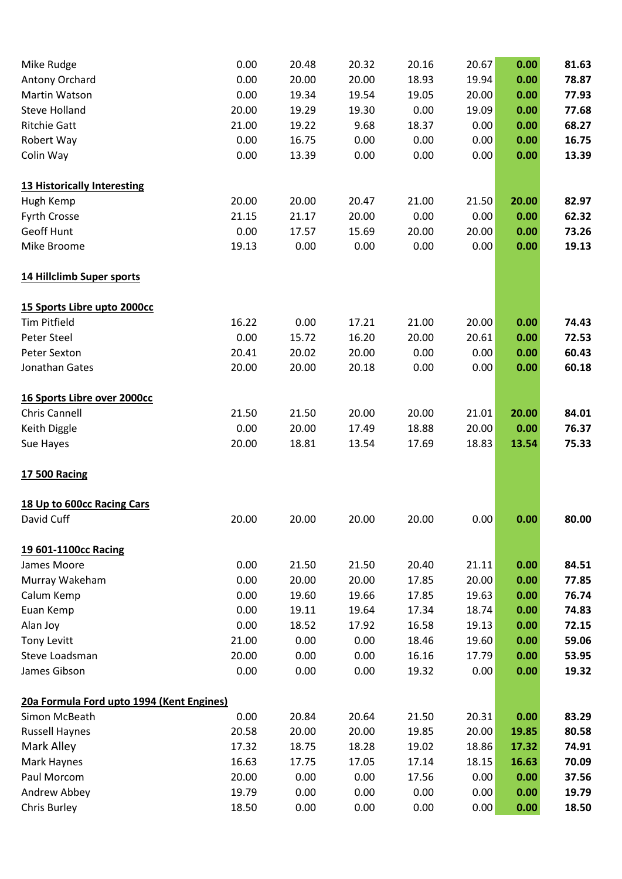| Mike Rudge                                | 0.00  | 20.48 | 20.32 | 20.16 | 20.67 | 0.00  | 81.63 |
|-------------------------------------------|-------|-------|-------|-------|-------|-------|-------|
| Antony Orchard                            | 0.00  | 20.00 | 20.00 | 18.93 | 19.94 | 0.00  | 78.87 |
| Martin Watson                             | 0.00  | 19.34 | 19.54 | 19.05 | 20.00 | 0.00  | 77.93 |
| <b>Steve Holland</b>                      | 20.00 | 19.29 | 19.30 | 0.00  | 19.09 | 0.00  | 77.68 |
| <b>Ritchie Gatt</b>                       | 21.00 | 19.22 | 9.68  | 18.37 | 0.00  | 0.00  | 68.27 |
| Robert Way                                | 0.00  | 16.75 | 0.00  | 0.00  | 0.00  | 0.00  | 16.75 |
| Colin Way                                 | 0.00  | 13.39 | 0.00  | 0.00  | 0.00  | 0.00  | 13.39 |
| 13 Historically Interesting               |       |       |       |       |       |       |       |
| Hugh Kemp                                 | 20.00 | 20.00 | 20.47 | 21.00 | 21.50 | 20.00 | 82.97 |
| Fyrth Crosse                              | 21.15 | 21.17 | 20.00 | 0.00  | 0.00  | 0.00  | 62.32 |
| Geoff Hunt                                | 0.00  | 17.57 | 15.69 | 20.00 | 20.00 | 0.00  | 73.26 |
| Mike Broome                               | 19.13 | 0.00  | 0.00  | 0.00  | 0.00  | 0.00  | 19.13 |
| 14 Hillclimb Super sports                 |       |       |       |       |       |       |       |
| 15 Sports Libre upto 2000cc               |       |       |       |       |       |       |       |
| <b>Tim Pitfield</b>                       | 16.22 | 0.00  | 17.21 | 21.00 | 20.00 | 0.00  | 74.43 |
| <b>Peter Steel</b>                        | 0.00  | 15.72 | 16.20 | 20.00 | 20.61 | 0.00  | 72.53 |
| Peter Sexton                              | 20.41 | 20.02 | 20.00 | 0.00  | 0.00  | 0.00  | 60.43 |
| Jonathan Gates                            | 20.00 | 20.00 | 20.18 | 0.00  | 0.00  | 0.00  | 60.18 |
| 16 Sports Libre over 2000cc               |       |       |       |       |       |       |       |
| <b>Chris Cannell</b>                      | 21.50 | 21.50 | 20.00 | 20.00 | 21.01 | 20.00 | 84.01 |
| Keith Diggle                              | 0.00  | 20.00 | 17.49 | 18.88 | 20.00 | 0.00  | 76.37 |
| Sue Hayes                                 | 20.00 | 18.81 | 13.54 | 17.69 | 18.83 | 13.54 | 75.33 |
| <b>17 500 Racing</b>                      |       |       |       |       |       |       |       |
| 18 Up to 600cc Racing Cars                |       |       |       |       |       |       |       |
| David Cuff                                | 20.00 | 20.00 | 20.00 | 20.00 | 0.00  | 0.00  | 80.00 |
| 19 601-1100cc Racing                      |       |       |       |       |       |       |       |
| James Moore                               | 0.00  | 21.50 | 21.50 | 20.40 | 21.11 | 0.00  | 84.51 |
| Murray Wakeham                            | 0.00  | 20.00 | 20.00 | 17.85 | 20.00 | 0.00  | 77.85 |
| Calum Kemp                                | 0.00  | 19.60 | 19.66 | 17.85 | 19.63 | 0.00  | 76.74 |
| Euan Kemp                                 | 0.00  | 19.11 | 19.64 | 17.34 | 18.74 | 0.00  | 74.83 |
| Alan Joy                                  | 0.00  | 18.52 | 17.92 | 16.58 | 19.13 | 0.00  | 72.15 |
| <b>Tony Levitt</b>                        | 21.00 | 0.00  | 0.00  | 18.46 | 19.60 | 0.00  | 59.06 |
| Steve Loadsman                            | 20.00 | 0.00  | 0.00  | 16.16 | 17.79 | 0.00  | 53.95 |
| James Gibson                              | 0.00  | 0.00  | 0.00  | 19.32 | 0.00  | 0.00  | 19.32 |
| 20a Formula Ford upto 1994 (Kent Engines) |       |       |       |       |       |       |       |
| Simon McBeath                             | 0.00  | 20.84 | 20.64 | 21.50 | 20.31 | 0.00  | 83.29 |
| <b>Russell Haynes</b>                     | 20.58 | 20.00 | 20.00 | 19.85 | 20.00 | 19.85 | 80.58 |
| Mark Alley                                | 17.32 | 18.75 | 18.28 | 19.02 | 18.86 | 17.32 | 74.91 |
| Mark Haynes                               | 16.63 | 17.75 | 17.05 | 17.14 | 18.15 | 16.63 | 70.09 |
| Paul Morcom                               | 20.00 | 0.00  | 0.00  | 17.56 | 0.00  | 0.00  | 37.56 |
| Andrew Abbey                              | 19.79 | 0.00  | 0.00  | 0.00  | 0.00  | 0.00  | 19.79 |
| Chris Burley                              | 18.50 | 0.00  | 0.00  | 0.00  | 0.00  | 0.00  | 18.50 |